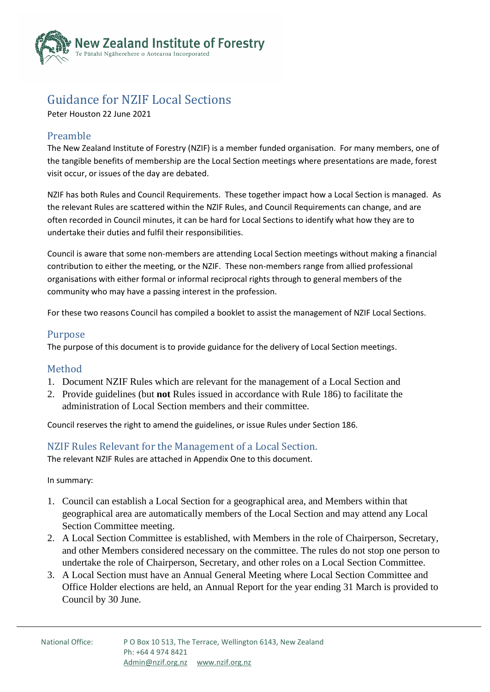

# Guidance for NZIF Local Sections

Peter Houston 22 June 2021

## Preamble

The New Zealand Institute of Forestry (NZIF) is a member funded organisation. For many members, one of the tangible benefits of membership are the Local Section meetings where presentations are made, forest visit occur, or issues of the day are debated.

NZIF has both Rules and Council Requirements. These together impact how a Local Section is managed. As the relevant Rules are scattered within the NZIF Rules, and Council Requirements can change, and are often recorded in Council minutes, it can be hard for Local Sections to identify what how they are to undertake their duties and fulfil their responsibilities.

Council is aware that some non-members are attending Local Section meetings without making a financial contribution to either the meeting, or the NZIF. These non-members range from allied professional organisations with either formal or informal reciprocal rights through to general members of the community who may have a passing interest in the profession.

For these two reasons Council has compiled a booklet to assist the management of NZIF Local Sections.

### Purpose

The purpose of this document is to provide guidance for the delivery of Local Section meetings.

### Method

- 1. Document NZIF Rules which are relevant for the management of a Local Section and
- 2. Provide guidelines (but **not** Rules issued in accordance with Rule 186) to facilitate the administration of Local Section members and their committee.

Council reserves the right to amend the guidelines, or issue Rules under Section 186.

### NZIF Rules Relevant for the Management of a Local Section.

The relevant NZIF Rules are attached in Appendix One to this document.

In summary:

- 1. Council can establish a Local Section for a geographical area, and Members within that geographical area are automatically members of the Local Section and may attend any Local Section Committee meeting.
- 2. A Local Section Committee is established, with Members in the role of Chairperson, Secretary, and other Members considered necessary on the committee. The rules do not stop one person to undertake the role of Chairperson, Secretary, and other roles on a Local Section Committee.
- 3. A Local Section must have an Annual General Meeting where Local Section Committee and Office Holder elections are held, an Annual Report for the year ending 31 March is provided to Council by 30 June.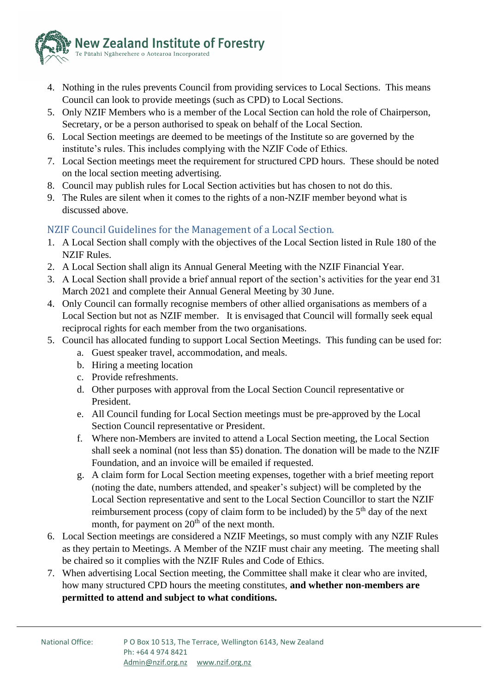

- 4. Nothing in the rules prevents Council from providing services to Local Sections. This means Council can look to provide meetings (such as CPD) to Local Sections.
- 5. Only NZIF Members who is a member of the Local Section can hold the role of Chairperson, Secretary, or be a person authorised to speak on behalf of the Local Section.
- 6. Local Section meetings are deemed to be meetings of the Institute so are governed by the institute's rules. This includes complying with the NZIF Code of Ethics.
- 7. Local Section meetings meet the requirement for structured CPD hours. These should be noted on the local section meeting advertising.
- 8. Council may publish rules for Local Section activities but has chosen to not do this.
- 9. The Rules are silent when it comes to the rights of a non-NZIF member beyond what is discussed above.

# NZIF Council Guidelines for the Management of a Local Section.

- 1. A Local Section shall comply with the objectives of the Local Section listed in Rule 180 of the NZIF Rules.
- 2. A Local Section shall align its Annual General Meeting with the NZIF Financial Year.
- 3. A Local Section shall provide a brief annual report of the section's activities for the year end 31 March 2021 and complete their Annual General Meeting by 30 June.
- 4. Only Council can formally recognise members of other allied organisations as members of a Local Section but not as NZIF member. It is envisaged that Council will formally seek equal reciprocal rights for each member from the two organisations.
- 5. Council has allocated funding to support Local Section Meetings. This funding can be used for:
	- a. Guest speaker travel, accommodation, and meals.
	- b. Hiring a meeting location
	- c. Provide refreshments.
	- d. Other purposes with approval from the Local Section Council representative or President.
	- e. All Council funding for Local Section meetings must be pre-approved by the Local Section Council representative or President.
	- f. Where non-Members are invited to attend a Local Section meeting, the Local Section shall seek a nominal (not less than \$5) donation. The donation will be made to the NZIF Foundation, and an invoice will be emailed if requested.
	- g. A claim form for Local Section meeting expenses, together with a brief meeting report (noting the date, numbers attended, and speaker's subject) will be completed by the Local Section representative and sent to the Local Section Councillor to start the NZIF reimbursement process (copy of claim form to be included) by the  $5<sup>th</sup>$  day of the next month, for payment on  $20<sup>th</sup>$  of the next month.
- 6. Local Section meetings are considered a NZIF Meetings, so must comply with any NZIF Rules as they pertain to Meetings. A Member of the NZIF must chair any meeting. The meeting shall be chaired so it complies with the NZIF Rules and Code of Ethics.
- 7. When advertising Local Section meeting, the Committee shall make it clear who are invited, how many structured CPD hours the meeting constitutes, **and whether non-members are permitted to attend and subject to what conditions.**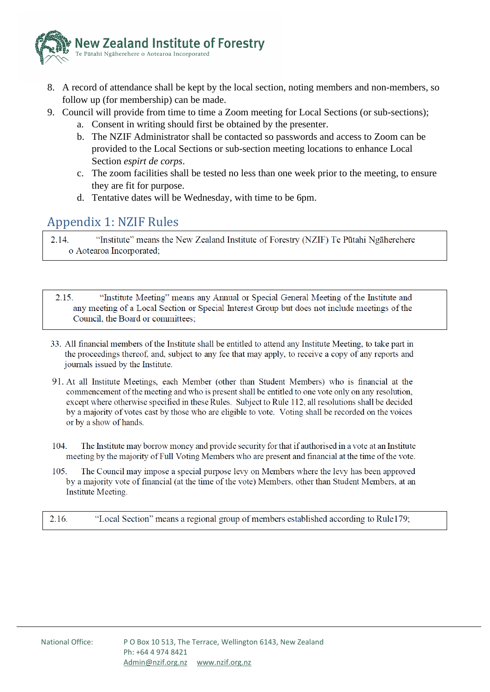

- 8. A record of attendance shall be kept by the local section, noting members and non-members, so follow up (for membership) can be made.
- 9. Council will provide from time to time a Zoom meeting for Local Sections (or sub-sections);
	- a. Consent in writing should first be obtained by the presenter.
	- b. The NZIF Administrator shall be contacted so passwords and access to Zoom can be provided to the Local Sections or sub-section meeting locations to enhance Local Section *espirt de corps*.
	- c. The zoom facilities shall be tested no less than one week prior to the meeting, to ensure they are fit for purpose.
	- d. Tentative dates will be Wednesday, with time to be 6pm.

# Appendix 1: NZIF Rules

"Institute" means the New Zealand Institute of Forestry (NZIF) Te Pūtahi Ngāherehere  $2.14$ o Aotearoa Incorporated;

"Institute Meeting" means any Annual or Special General Meeting of the Institute and 2.15. any meeting of a Local Section or Special Interest Group but does not include meetings of the Council, the Board or committees;

- 33. All financial members of the Institute shall be entitled to attend any Institute Meeting, to take part in the proceedings thereof, and, subject to any fee that may apply, to receive a copy of any reports and journals issued by the Institute.
- 91. At all Institute Meetings, each Member (other than Student Members) who is financial at the commencement of the meeting and who is present shall be entitled to one vote only on any resolution, except where otherwise specified in these Rules. Subject to Rule 112, all resolutions shall be decided by a majority of votes cast by those who are eligible to vote. Voting shall be recorded on the voices or by a show of hands.
- 104. The Institute may borrow money and provide security for that if authorised in a vote at an Institute meeting by the majority of Full Voting Members who are present and financial at the time of the vote.
- 105. The Council may impose a special purpose levy on Members where the levy has been approved by a majority vote of financial (at the time of the vote) Members, other than Student Members, at an Institute Meeting.
- "Local Section" means a regional group of members established according to Rule179; 2.16.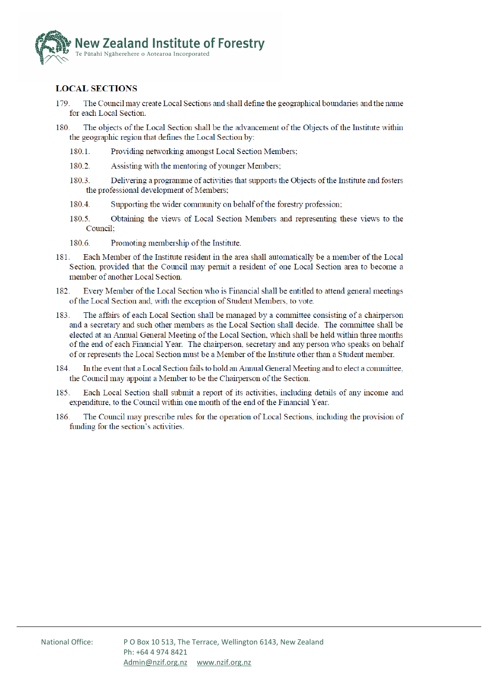

#### **LOCAL SECTIONS**

- 179 The Council may create Local Sections and shall define the geographical boundaries and the name for each Local Section.
- The objects of the Local Section shall be the advancement of the Objects of the Institute within 180 the geographic region that defines the Local Section by:
	- 180.1. Providing networking amongst Local Section Members;
	- 180.2. Assisting with the mentoring of younger Members;
	- 180.3. Delivering a programme of activities that supports the Objects of the Institute and fosters the professional development of Members;
	- 180.4. Supporting the wider community on behalf of the forestry profession;
	- 180.5. Obtaining the views of Local Section Members and representing these views to the Council:
	- Promoting membership of the Institute. 180.6.
- 181. Each Member of the Institute resident in the area shall automatically be a member of the Local Section, provided that the Council may permit a resident of one Local Section area to become a member of another Local Section.
- 182. Every Member of the Local Section who is Financial shall be entitled to attend general meetings of the Local Section and, with the exception of Student Members, to vote.
- 183. The affairs of each Local Section shall be managed by a committee consisting of a chairperson and a secretary and such other members as the Local Section shall decide. The committee shall be elected at an Annual General Meeting of the Local Section, which shall be held within three months of the end of each Financial Year. The chairperson, secretary and any person who speaks on behalf of or represents the Local Section must be a Member of the Institute other than a Student member.
- In the event that a Local Section fails to hold an Annual General Meeting and to elect a committee, 184. the Council may appoint a Member to be the Chairperson of the Section.
- Each Local Section shall submit a report of its activities, including details of any income and 185. expenditure, to the Council within one month of the end of the Financial Year.
- 186. The Council may prescribe rules for the operation of Local Sections, including the provision of funding for the section's activities.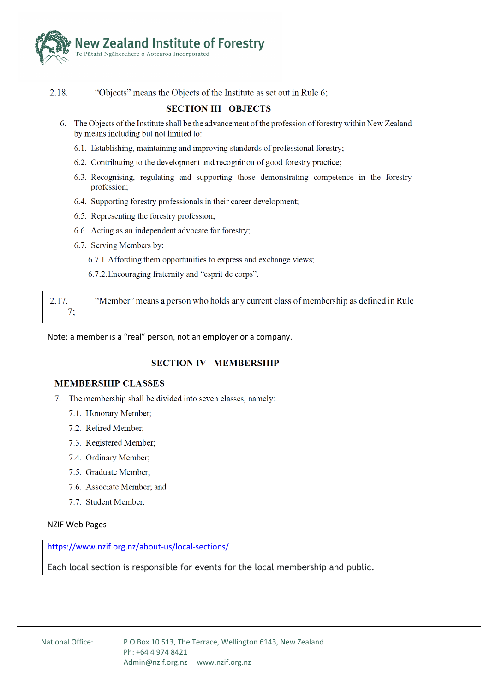

2.18. "Objects" means the Objects of the Institute as set out in Rule 6;

#### **SECTION III OBJECTS**

- 6. The Objects of the Institute shall be the advancement of the profession of forestry within New Zealand by means including but not limited to:
	- 6.1. Establishing, maintaining and improving standards of professional forestry;
	- 6.2. Contributing to the development and recognition of good forestry practice;
	- 6.3. Recognising, regulating and supporting those demonstrating competence in the forestry profession:
	- 6.4. Supporting forestry professionals in their career development;
	- 6.5. Representing the forestry profession;
	- 6.6. Acting as an independent advocate for forestry;
	- 6.7. Serving Members by:
		- 6.7.1. Affording them opportunities to express and exchange views;
		- 6.7.2. Encouraging fraternity and "esprit de corps".

 $2.17.$ "Member" means a person who holds any current class of membership as defined in Rule  $7:$ 

Note: a member is a "real" person, not an employer or a company.

#### **SECTION IV MEMBERSHIP**

#### **MEMBERSHIP CLASSES**

- 7. The membership shall be divided into seven classes, namely:
	- 7.1. Honorary Member;
	- 7.2. Retired Member:
	- 7.3. Registered Member;
	- 7.4. Ordinary Member;
	- 7.5. Graduate Member;
	- 7.6. Associate Member; and
	- 7.7. Student Member.

#### **NZIF Web Pages**

https://www.nzif.org.nz/about-us/local-sections/

Each local section is responsible for events for the local membership and public.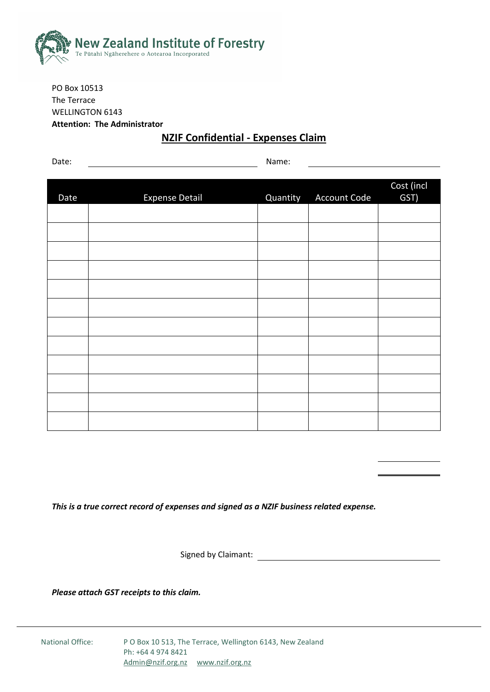

PO Box 10513 The Terrace WELLINGTON 6143 **Attention: The Administrator**

# **NZIF Confidential - Expenses Claim**

Date: Name:

|      |                       |          | Account Code | Cost (incl<br>GST) |
|------|-----------------------|----------|--------------|--------------------|
| Date | <b>Expense Detail</b> | Quantity |              |                    |
|      |                       |          |              |                    |
|      |                       |          |              |                    |
|      |                       |          |              |                    |
|      |                       |          |              |                    |
|      |                       |          |              |                    |
|      |                       |          |              |                    |
|      |                       |          |              |                    |
|      |                       |          |              |                    |
|      |                       |          |              |                    |
|      |                       |          |              |                    |
|      |                       |          |              |                    |
|      |                       |          |              |                    |

*This is a true correct record of expenses and signed as a NZIF business related expense.*

Signed by Claimant:

*Please attach GST receipts to this claim.*